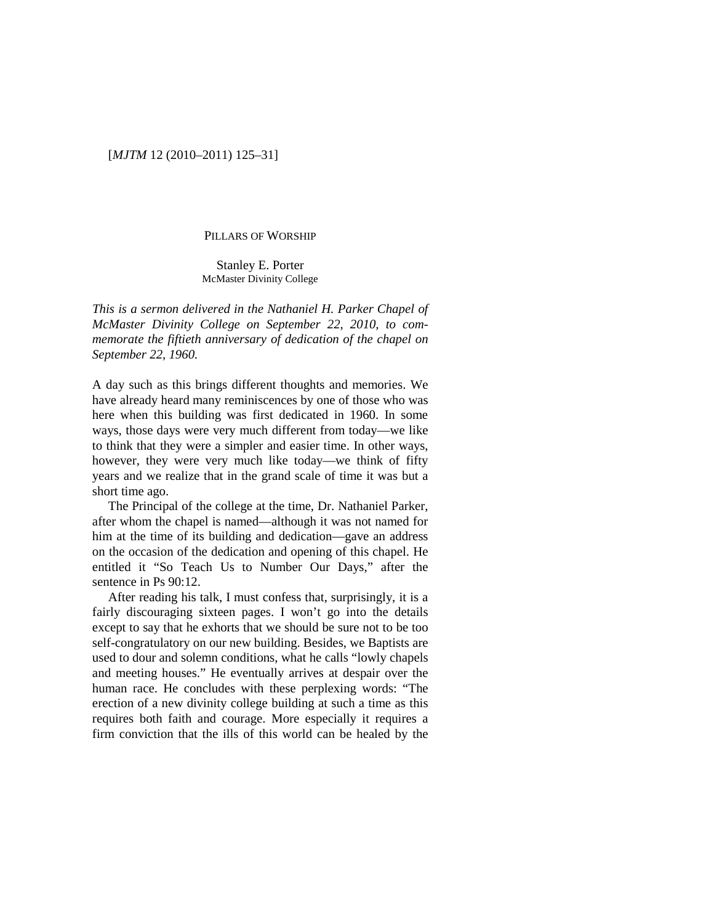# [*MJTM* 12 (2010–2011) 125–31]

#### PILLARS OF WORSHIP

Stanley E. Porter McMaster Divinity College

*This is a sermon delivered in the Nathaniel H. Parker Chapel of McMaster Divinity College on September 22, 2010, to commemorate the fiftieth anniversary of dedication of the chapel on September 22, 1960.*

A day such as this brings different thoughts and memories. We have already heard many reminiscences by one of those who was here when this building was first dedicated in 1960. In some ways, those days were very much different from today—we like to think that they were a simpler and easier time. In other ways, however, they were very much like today—we think of fifty years and we realize that in the grand scale of time it was but a short time ago.

The Principal of the college at the time, Dr. Nathaniel Parker, after whom the chapel is named—although it was not named for him at the time of its building and dedication—gave an address on the occasion of the dedication and opening of this chapel. He entitled it "So Teach Us to Number Our Days," after the sentence in Ps 90:12.

After reading his talk, I must confess that, surprisingly, it is a fairly discouraging sixteen pages. I won't go into the details except to say that he exhorts that we should be sure not to be too self-congratulatory on our new building. Besides, we Baptists are used to dour and solemn conditions, what he calls "lowly chapels and meeting houses." He eventually arrives at despair over the human race. He concludes with these perplexing words: "The erection of a new divinity college building at such a time as this requires both faith and courage. More especially it requires a firm conviction that the ills of this world can be healed by the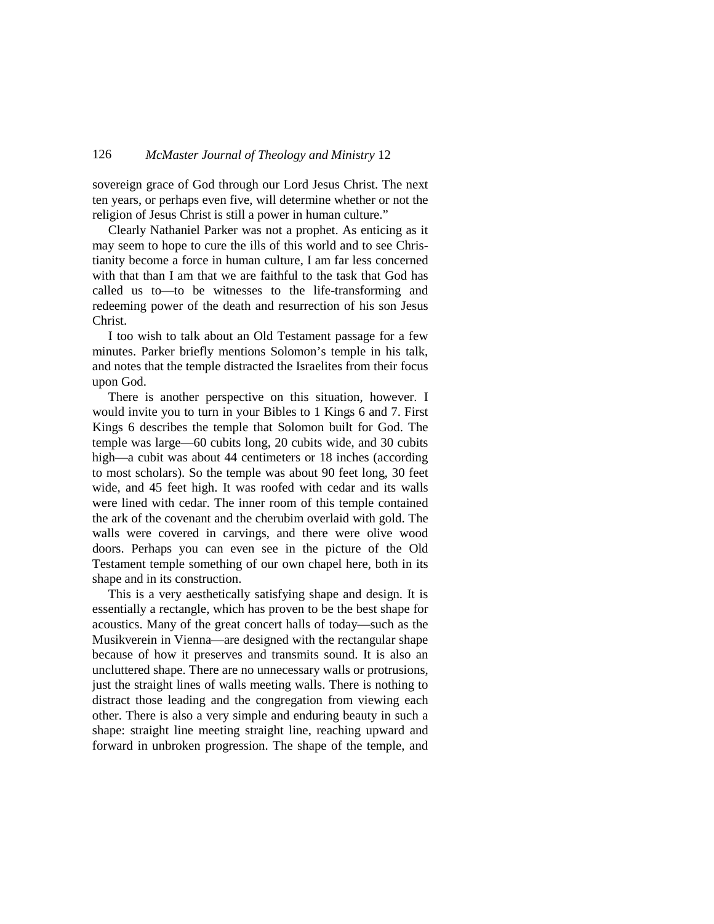# 126 *McMaster Journal of Theology and Ministry* 12

sovereign grace of God through our Lord Jesus Christ. The next ten years, or perhaps even five, will determine whether or not the religion of Jesus Christ is still a power in human culture."

Clearly Nathaniel Parker was not a prophet. As enticing as it may seem to hope to cure the ills of this world and to see Christianity become a force in human culture, I am far less concerned with that than I am that we are faithful to the task that God has called us to—to be witnesses to the life-transforming and redeeming power of the death and resurrection of his son Jesus Christ.

I too wish to talk about an Old Testament passage for a few minutes. Parker briefly mentions Solomon's temple in his talk, and notes that the temple distracted the Israelites from their focus upon God.

There is another perspective on this situation, however. I would invite you to turn in your Bibles to 1 Kings 6 and 7. First Kings 6 describes the temple that Solomon built for God. The temple was large—60 cubits long, 20 cubits wide, and 30 cubits high—a cubit was about 44 centimeters or 18 inches (according to most scholars). So the temple was about 90 feet long, 30 feet wide, and 45 feet high. It was roofed with cedar and its walls were lined with cedar. The inner room of this temple contained the ark of the covenant and the cherubim overlaid with gold. The walls were covered in carvings, and there were olive wood doors. Perhaps you can even see in the picture of the Old Testament temple something of our own chapel here, both in its shape and in its construction.

This is a very aesthetically satisfying shape and design. It is essentially a rectangle, which has proven to be the best shape for acoustics. Many of the great concert halls of today—such as the Musikverein in Vienna—are designed with the rectangular shape because of how it preserves and transmits sound. It is also an uncluttered shape. There are no unnecessary walls or protrusions, just the straight lines of walls meeting walls. There is nothing to distract those leading and the congregation from viewing each other. There is also a very simple and enduring beauty in such a shape: straight line meeting straight line, reaching upward and forward in unbroken progression. The shape of the temple, and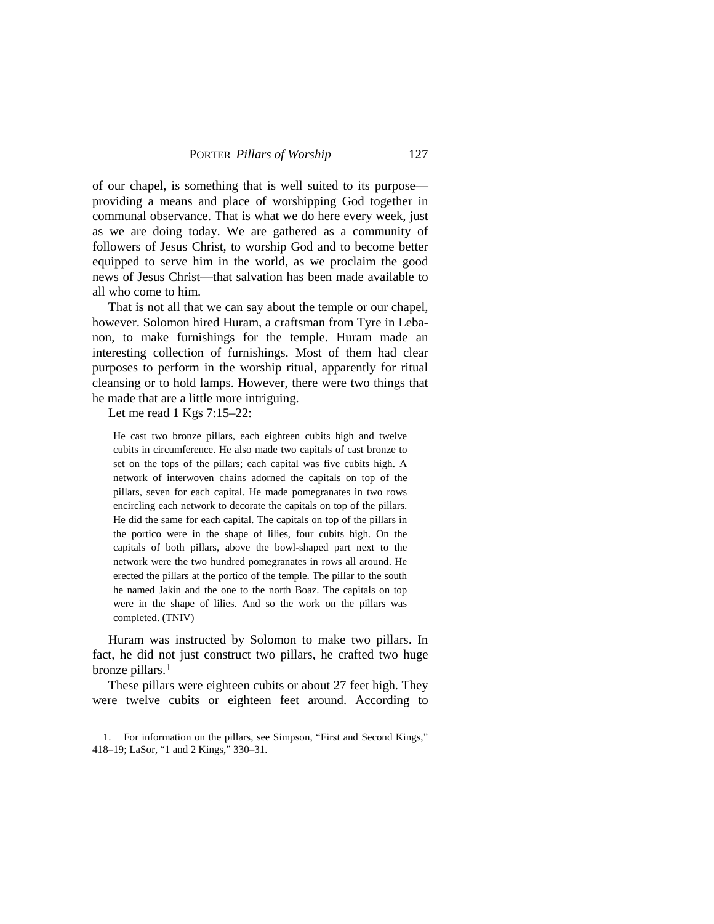of our chapel, is something that is well suited to its purpose providing a means and place of worshipping God together in communal observance. That is what we do here every week, just as we are doing today. We are gathered as a community of followers of Jesus Christ, to worship God and to become better equipped to serve him in the world, as we proclaim the good news of Jesus Christ—that salvation has been made available to all who come to him.

That is not all that we can say about the temple or our chapel, however. Solomon hired Huram, a craftsman from Tyre in Lebanon, to make furnishings for the temple. Huram made an interesting collection of furnishings. Most of them had clear purposes to perform in the worship ritual, apparently for ritual cleansing or to hold lamps. However, there were two things that he made that are a little more intriguing.

Let me read 1 Kgs 7:15–22:

He cast two bronze pillars, each eighteen cubits high and twelve cubits in circumference. He also made two capitals of cast bronze to set on the tops of the pillars; each capital was five cubits high. A network of interwoven chains adorned the capitals on top of the pillars, seven for each capital. He made pomegranates in two rows encircling each network to decorate the capitals on top of the pillars. He did the same for each capital. The capitals on top of the pillars in the portico were in the shape of lilies, four cubits high. On the capitals of both pillars, above the bowl-shaped part next to the network were the two hundred pomegranates in rows all around. He erected the pillars at the portico of the temple. The pillar to the south he named Jakin and the one to the north Boaz. The capitals on top were in the shape of lilies. And so the work on the pillars was completed. (TNIV)

Huram was instructed by Solomon to make two pillars. In fact, he did not just construct two pillars, he crafted two huge bronze pillars.<sup>[1](#page-2-0)</sup>

These pillars were eighteen cubits or about 27 feet high. They were twelve cubits or eighteen feet around. According to

<span id="page-2-0"></span><sup>1.</sup> For information on the pillars, see Simpson, "First and Second Kings," 418–19; LaSor, "1 and 2 Kings," 330–31.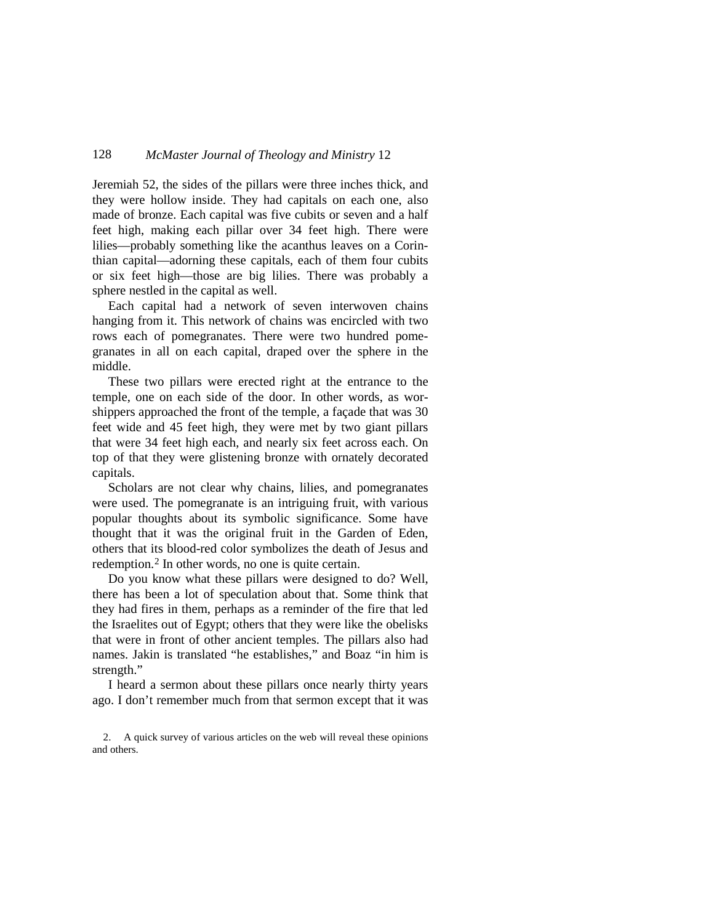# 128 *McMaster Journal of Theology and Ministry* 12

Jeremiah 52, the sides of the pillars were three inches thick, and they were hollow inside. They had capitals on each one, also made of bronze. Each capital was five cubits or seven and a half feet high, making each pillar over 34 feet high. There were lilies—probably something like the acanthus leaves on a Corinthian capital—adorning these capitals, each of them four cubits or six feet high—those are big lilies. There was probably a sphere nestled in the capital as well.

Each capital had a network of seven interwoven chains hanging from it. This network of chains was encircled with two rows each of pomegranates. There were two hundred pomegranates in all on each capital, draped over the sphere in the middle.

These two pillars were erected right at the entrance to the temple, one on each side of the door. In other words, as worshippers approached the front of the temple, a façade that was 30 feet wide and 45 feet high, they were met by two giant pillars that were 34 feet high each, and nearly six feet across each. On top of that they were glistening bronze with ornately decorated capitals.

Scholars are not clear why chains, lilies, and pomegranates were used. The pomegranate is an intriguing fruit, with various popular thoughts about its symbolic significance. Some have thought that it was the original fruit in the Garden of Eden, others that its blood-red color symbolizes the death of Jesus and redemption.[2](#page-3-0) In other words, no one is quite certain.

Do you know what these pillars were designed to do? Well, there has been a lot of speculation about that. Some think that they had fires in them, perhaps as a reminder of the fire that led the Israelites out of Egypt; others that they were like the obelisks that were in front of other ancient temples. The pillars also had names. Jakin is translated "he establishes," and Boaz "in him is strength."

I heard a sermon about these pillars once nearly thirty years ago. I don't remember much from that sermon except that it was

<span id="page-3-0"></span><sup>2.</sup> A quick survey of various articles on the web will reveal these opinions and others.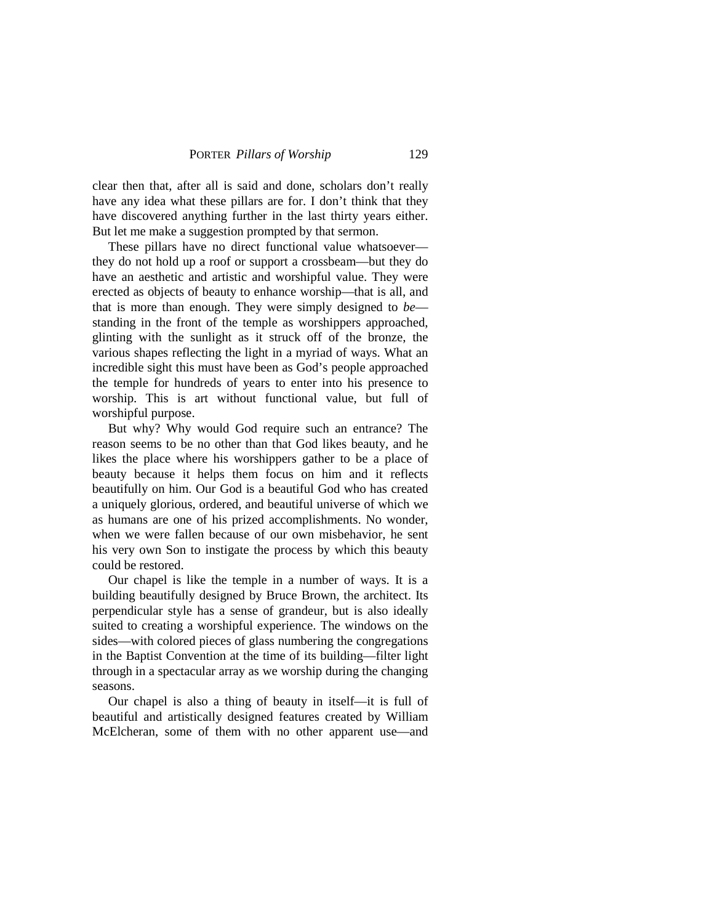clear then that, after all is said and done, scholars don't really have any idea what these pillars are for. I don't think that they have discovered anything further in the last thirty years either. But let me make a suggestion prompted by that sermon.

These pillars have no direct functional value whatsoever they do not hold up a roof or support a crossbeam—but they do have an aesthetic and artistic and worshipful value. They were erected as objects of beauty to enhance worship—that is all, and that is more than enough. They were simply designed to *be* standing in the front of the temple as worshippers approached, glinting with the sunlight as it struck off of the bronze, the various shapes reflecting the light in a myriad of ways. What an incredible sight this must have been as God's people approached the temple for hundreds of years to enter into his presence to worship. This is art without functional value, but full of worshipful purpose.

But why? Why would God require such an entrance? The reason seems to be no other than that God likes beauty, and he likes the place where his worshippers gather to be a place of beauty because it helps them focus on him and it reflects beautifully on him. Our God is a beautiful God who has created a uniquely glorious, ordered, and beautiful universe of which we as humans are one of his prized accomplishments. No wonder, when we were fallen because of our own misbehavior, he sent his very own Son to instigate the process by which this beauty could be restored.

Our chapel is like the temple in a number of ways. It is a building beautifully designed by Bruce Brown, the architect. Its perpendicular style has a sense of grandeur, but is also ideally suited to creating a worshipful experience. The windows on the sides—with colored pieces of glass numbering the congregations in the Baptist Convention at the time of its building—filter light through in a spectacular array as we worship during the changing seasons.

Our chapel is also a thing of beauty in itself—it is full of beautiful and artistically designed features created by William McElcheran, some of them with no other apparent use—and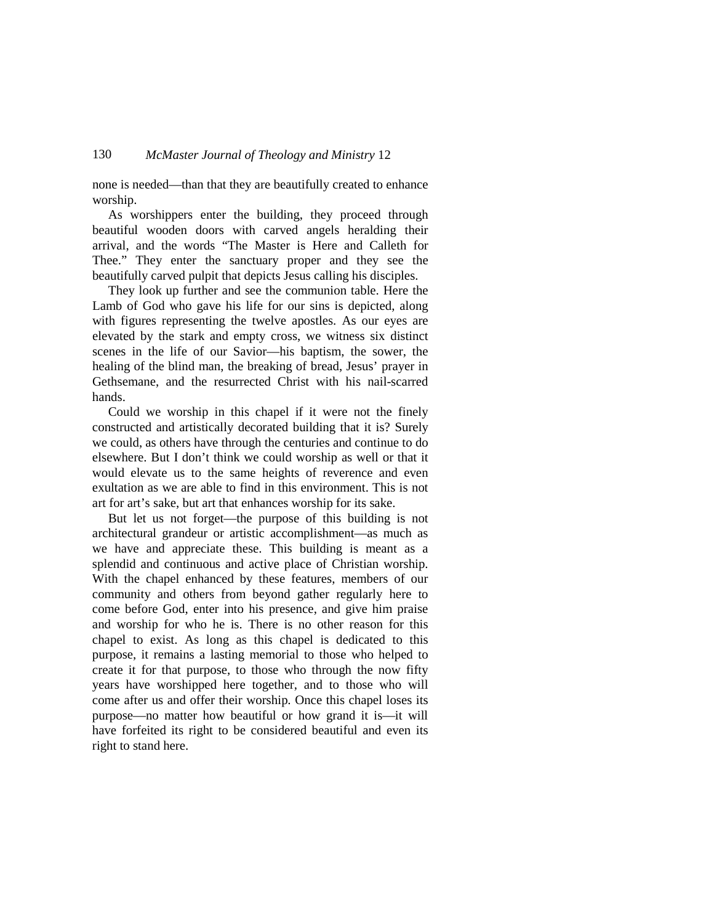none is needed—than that they are beautifully created to enhance worship.

As worshippers enter the building, they proceed through beautiful wooden doors with carved angels heralding their arrival, and the words "The Master is Here and Calleth for Thee." They enter the sanctuary proper and they see the beautifully carved pulpit that depicts Jesus calling his disciples.

They look up further and see the communion table. Here the Lamb of God who gave his life for our sins is depicted, along with figures representing the twelve apostles. As our eyes are elevated by the stark and empty cross, we witness six distinct scenes in the life of our Savior—his baptism, the sower, the healing of the blind man, the breaking of bread, Jesus' prayer in Gethsemane, and the resurrected Christ with his nail-scarred hands.

Could we worship in this chapel if it were not the finely constructed and artistically decorated building that it is? Surely we could, as others have through the centuries and continue to do elsewhere. But I don't think we could worship as well or that it would elevate us to the same heights of reverence and even exultation as we are able to find in this environment. This is not art for art's sake, but art that enhances worship for its sake.

But let us not forget—the purpose of this building is not architectural grandeur or artistic accomplishment—as much as we have and appreciate these. This building is meant as a splendid and continuous and active place of Christian worship. With the chapel enhanced by these features, members of our community and others from beyond gather regularly here to come before God, enter into his presence, and give him praise and worship for who he is. There is no other reason for this chapel to exist. As long as this chapel is dedicated to this purpose, it remains a lasting memorial to those who helped to create it for that purpose, to those who through the now fifty years have worshipped here together, and to those who will come after us and offer their worship. Once this chapel loses its purpose—no matter how beautiful or how grand it is—it will have forfeited its right to be considered beautiful and even its right to stand here.